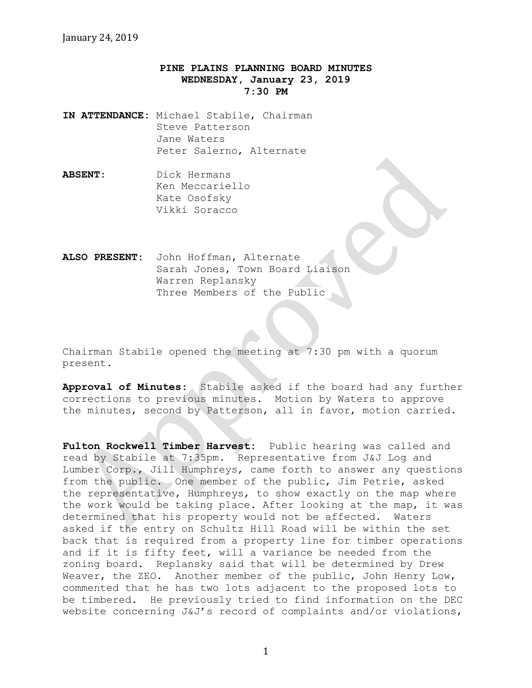## **PINE PLAINS PLANNING BOARD MINUTES WEDNESDAY, January 23, 2019 7:30 PM**

- **IN ATTENDANCE:** Michael Stabile, Chairman Steve Patterson Jane Waters Peter Salerno, Alternate
- **ABSENT:** Dick Hermans Ken Meccariello Kate Osofsky Vikki Soracco

**ALSO PRESENT:** John Hoffman, Alternate Sarah Jones, Town Board Liaison Warren Replansky Three Members of the Public

Chairman Stabile opened the meeting at 7:30 pm with a quorum present.

**Approval of Minutes:** Stabile asked if the board had any further corrections to previous minutes. Motion by Waters to approve the minutes, second by Patterson, all in favor, motion carried.

**Fulton Rockwell Timber Harvest:** Public hearing was called and read by Stabile at 7:35pm. Representative from J&J Log and Lumber Corp., Jill Humphreys, came forth to answer any questions from the public. One member of the public, Jim Petrie, asked the representative, Humphreys, to show exactly on the map where the work would be taking place. After looking at the map, it was determined that his property would not be affected. Waters asked if the entry on Schultz Hill Road will be within the set back that is required from a property line for timber operations and if it is fifty feet, will a variance be needed from the zoning board. Replansky said that will be determined by Drew Weaver, the ZEO. Another member of the public, John Henry Low, commented that he has two lots adjacent to the proposed lots to be timbered. He previously tried to find information on the DEC website concerning J&J's record of complaints and/or violations,

1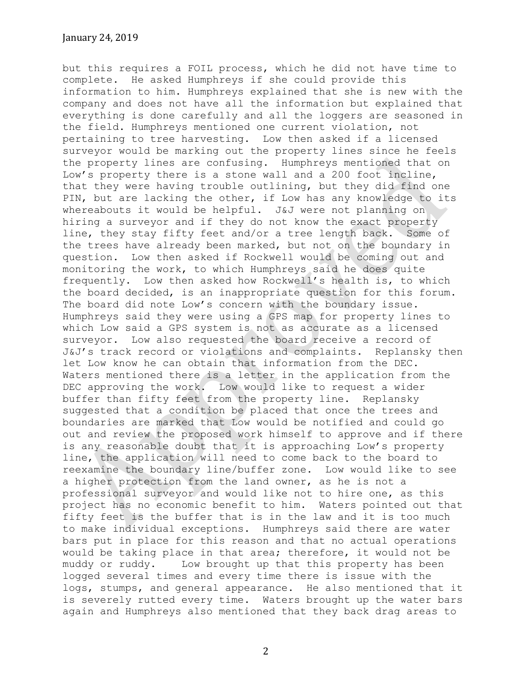but this requires a FOIL process, which he did not have time to complete. He asked Humphreys if she could provide this information to him. Humphreys explained that she is new with the company and does not have all the information but explained that everything is done carefully and all the loggers are seasoned in the field. Humphreys mentioned one current violation, not pertaining to tree harvesting. Low then asked if a licensed surveyor would be marking out the property lines since he feels the property lines are confusing. Humphreys mentioned that on Low's property there is a stone wall and a 200 foot incline, that they were having trouble outlining, but they did find one PIN, but are lacking the other, if Low has any knowledge to its whereabouts it would be helpful. J&J were not planning on hiring a surveyor and if they do not know the exact property line, they stay fifty feet and/or a tree length back. Some of the trees have already been marked, but not on the boundary in question. Low then asked if Rockwell would be coming out and monitoring the work, to which Humphreys said he does quite frequently. Low then asked how Rockwell's health is, to which the board decided, is an inappropriate question for this forum. The board did note Low's concern with the boundary issue. Humphreys said they were using a GPS map for property lines to which Low said a GPS system is not as accurate as a licensed surveyor. Low also requested the board receive a record of J&J's track record or violations and complaints. Replansky then let Low know he can obtain that information from the DEC. Waters mentioned there is a letter in the application from the DEC approving the work. Low would like to request a wider buffer than fifty feet from the property line. Replansky suggested that a condition be placed that once the trees and boundaries are marked that Low would be notified and could go out and review the proposed work himself to approve and if there is any reasonable doubt that it is approaching Low's property line, the application will need to come back to the board to reexamine the boundary line/buffer zone. Low would like to see a higher protection from the land owner, as he is not a professional surveyor and would like not to hire one, as this project has no economic benefit to him. Waters pointed out that fifty feet is the buffer that is in the law and it is too much to make individual exceptions. Humphreys said there are water bars put in place for this reason and that no actual operations would be taking place in that area; therefore, it would not be muddy or ruddy. Low brought up that this property has been logged several times and every time there is issue with the logs, stumps, and general appearance. He also mentioned that it is severely rutted every time. Waters brought up the water bars again and Humphreys also mentioned that they back drag areas to

2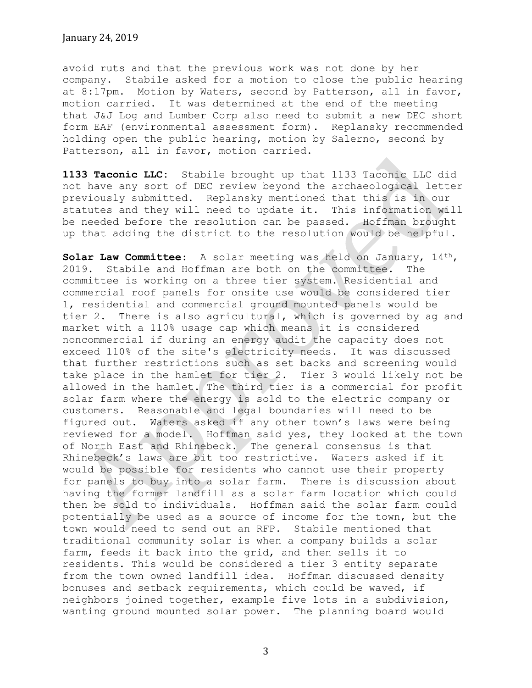## January 24, 2019

avoid ruts and that the previous work was not done by her company. Stabile asked for a motion to close the public hearing at 8:17pm. Motion by Waters, second by Patterson, all in favor, motion carried. It was determined at the end of the meeting that J&J Log and Lumber Corp also need to submit a new DEC short form EAF (environmental assessment form). Replansky recommended holding open the public hearing, motion by Salerno, second by Patterson, all in favor, motion carried.

**1133 Taconic LLC:** Stabile brought up that 1133 Taconic LLC did not have any sort of DEC review beyond the archaeological letter previously submitted. Replansky mentioned that this is in our statutes and they will need to update it. This information will be needed before the resolution can be passed. Hoffman brought up that adding the district to the resolution would be helpful.

**Solar Law Committee**: A solar meeting was held on January, 14th, 2019. Stabile and Hoffman are both on the committee. The committee is working on a three tier system. Residential and commercial roof panels for onsite use would be considered tier 1, residential and commercial ground mounted panels would be tier 2. There is also agricultural, which is governed by ag and market with a 110% usage cap which means it is considered noncommercial if during an energy audit the capacity does not exceed 110% of the site's electricity needs. It was discussed that further restrictions such as set backs and screening would take place in the hamlet for tier 2. Tier 3 would likely not be allowed in the hamlet. The third tier is a commercial for profit solar farm where the energy is sold to the electric company or customers. Reasonable and legal boundaries will need to be figured out. Waters asked if any other town's laws were being reviewed for a model. Hoffman said yes, they looked at the town of North East and Rhinebeck. The general consensus is that Rhinebeck's laws are bit too restrictive. Waters asked if it would be possible for residents who cannot use their property for panels to buy into a solar farm. There is discussion about having the former landfill as a solar farm location which could then be sold to individuals. Hoffman said the solar farm could potentially be used as a source of income for the town, but the town would need to send out an RFP. Stabile mentioned that traditional community solar is when a company builds a solar farm, feeds it back into the grid, and then sells it to residents. This would be considered a tier 3 entity separate from the town owned landfill idea. Hoffman discussed density bonuses and setback requirements, which could be waved, if neighbors joined together, example five lots in a subdivision, wanting ground mounted solar power. The planning board would

3